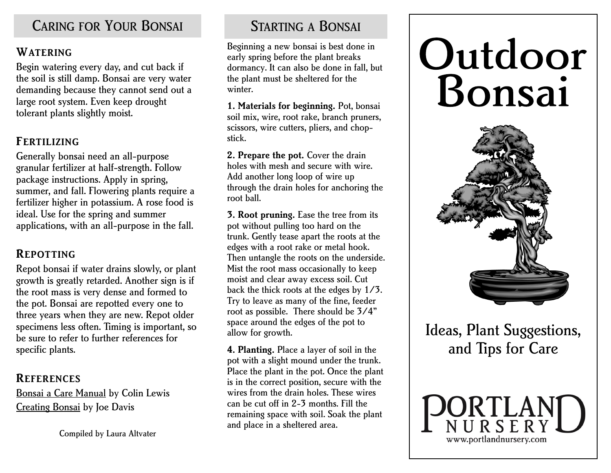## CARING FOR YOUR BONSAI STARTING A BONSAI

#### **WATERING**

Begin watering every day, and cut back if the soil is still damp. Bonsai are very water demanding because they cannot send out a large root system. Even keep drought tolerant plants slightly moist.

### **FERTILIZING**

Generally bonsai need an all-purpose granular fertilizer at half-strength. Follow package instructions. Apply in spring, summer, and fall. Flowering plants require a fertilizer higher in potassium. A rose food is ideal. Use for the spring and summer applications, with an all-purpose in the fall.

### **REPOTTING**

Repot bonsai if water drains slowly, or plant growth is greatly retarded. Another sign is if the root mass is very dense and formed to the pot. Bonsai are repotted every one to three years when they are new. Repot older specimens less often. Timing is important, so be sure to refer to further references for specific plants.

#### **REFERENCES**

Bonsai a Care Manual by Colin Lewis Creating Bonsai by Joe Davis

Compiled by Laura Altvater

Beginning a new bonsai is best done in early spring before the plant breaks dormancy. It can also be done in fall, but the plant must be sheltered for the winter.

**1. Materials for beginning.** Pot, bonsai soil mix, wire, root rake, branch pruners, scissors, wire cutters, pliers, and chopstick.

2. Prepare the pot. Cover the drain holes with mesh and secure with wire. Add another long loop of wire up through the drain holes for anchoring the root ball.

**3. Root pruning.** Ease the tree from its pot without pulling too hard on the trunk. Gently tease apart the roots at the edges with a root rake or metal hook. Then untangle the roots on the underside. Mist the root mass occasionally to keep moist and clear away excess soil. Cut back the thick roots at the edges by 1/3. Try to leave as many of the fine, feeder root as possible. There should be 3/4" space around the edges of the pot to allow for growth.

**4. Planting.** Place a layer of soil in the pot with a slight mound under the trunk. Place the plant in the pot. Once the plant is in the correct position, secure with the wires from the drain holes. These wires can be cut off in 2-3 months. Fill the remaining space with soil. Soak the plant and place in a sheltered area.

# Outdoor Bonsai



Ideas, Plant Suggestions, and Tips for Care